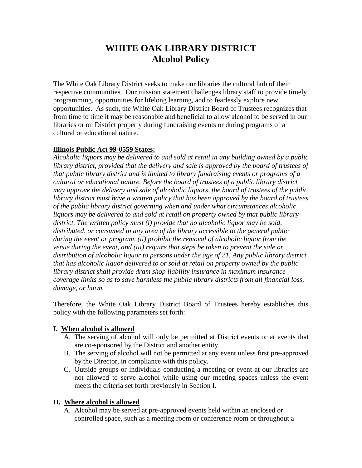# **WHITE OAK LIBRARY DISTRICT Alcohol Policy**

The White Oak Library District seeks to make our libraries the cultural hub of their respective communities. Our mission statement challenges library staff to provide timely programming, opportunities for lifelong learning, and to fearlessly explore new opportunities. As such, the White Oak Library District Board of Trustees recognizes that from time to time it may be reasonable and beneficial to allow alcohol to be served in our libraries or on District property during fundraising events or during programs of a cultural or educational nature.

#### **Illinois Public Act 99-0559 States:**

*Alcoholic liquors may be delivered to and sold at retail in any building owned by a public library district, provided that the delivery and sale is approved by the board of trustees of that public library district and is limited to library fundraising events or programs of a cultural or educational nature. Before the board of trustees of a public library district may approve the delivery and sale of alcoholic liquors, the board of trustees of the public library district must have a written policy that has been approved by the board of trustees of the public library district governing when and under what circumstances alcoholic liquors may be delivered to and sold at retail on property owned by that public library district. The written policy must (i) provide that no alcoholic liquor may be sold, distributed, or consumed in any area of the library accessible to the general public during the event or program, (ii) prohibit the removal of alcoholic liquor from the venue during the event, and (iii) require that steps be taken to prevent the sale or distribution of alcoholic liquor to persons under the age of 21. Any public library district that has alcoholic liquor delivered to or sold at retail on property owned by the public library district shall provide dram shop liability insurance in maximum insurance coverage limits so as to save harmless the public library districts from all financial loss, damage, or harm.*

Therefore, the White Oak Library District Board of Trustees hereby establishes this policy with the following parameters set forth:

#### **I. When alcohol is allowed**

- A. The serving of alcohol will only be permitted at District events or at events that are co-sponsored by the District and another entity.
- B. The serving of alcohol will not be permitted at any event unless first pre-approved by the Director, in compliance with this policy.
- C. Outside groups or individuals conducting a meeting or event at our libraries are not allowed to serve alcohol while using our meeting spaces unless the event meets the criteria set forth previously in Section I.

#### **II. Where alcohol is allowed**

A. Alcohol may be served at pre-approved events held within an enclosed or controlled space, such as a meeting room or conference room or throughout a